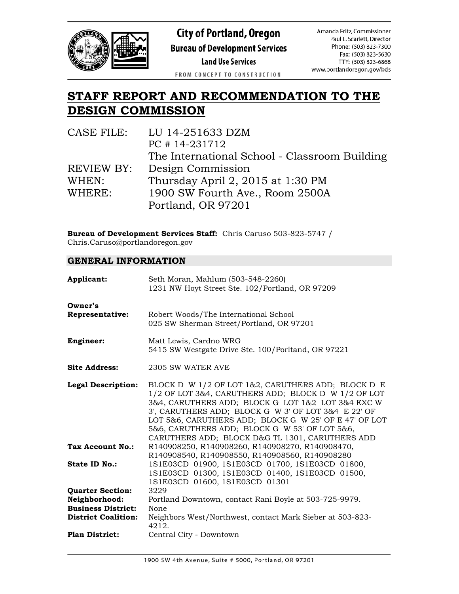

**City of Portland, Oregon Bureau of Development Services** 

**Land Use Services** 

FROM CONCEPT TO CONSTRUCTION

### **STAFF REPORT AND RECOMMENDATION TO THE DESIGN COMMISSION**

| CASE FILE: | LU 14-251633 DZM                              |
|------------|-----------------------------------------------|
|            | PC #14-231712                                 |
|            | The International School - Classroom Building |
| REVIEW BY: | Design Commission                             |
| WHEN:      | Thursday April 2, 2015 at 1:30 PM             |
| WHERE:     | 1900 SW Fourth Ave., Room 2500A               |
|            | Portland, OR 97201                            |

**Bureau of Development Services Staff:** Chris Caruso 503-823-5747 / Chris.Caruso@portlandoregon.gov

#### **GENERAL INFORMATION**

| Applicant:                                              | Seth Moran, Mahlum (503-548-2260)<br>1231 NW Hoyt Street Ste. 102/Portland, OR 97209                                                                                                                                                                                                                                                                                               |
|---------------------------------------------------------|------------------------------------------------------------------------------------------------------------------------------------------------------------------------------------------------------------------------------------------------------------------------------------------------------------------------------------------------------------------------------------|
| Owner's<br><b>Representative:</b>                       | Robert Woods/The International School<br>025 SW Sherman Street/Portland, OR 97201                                                                                                                                                                                                                                                                                                  |
| <b>Engineer:</b>                                        | Matt Lewis, Cardno WRG<br>5415 SW Westgate Drive Ste. 100/Porltand, OR 97221                                                                                                                                                                                                                                                                                                       |
| <b>Site Address:</b>                                    | 2305 SW WATER AVE                                                                                                                                                                                                                                                                                                                                                                  |
| <b>Legal Description:</b>                               | BLOCK D W 1/2 OF LOT 1&2, CARUTHERS ADD; BLOCK D E<br>1/2 OF LOT 3&4, CARUTHERS ADD; BLOCK D W 1/2 OF LOT<br>3&4, CARUTHERS ADD; BLOCK G LOT 1&2 LOT 3&4 EXC W<br>3', CARUTHERS ADD; BLOCK G W 3' OF LOT 3&4 E 22' OF<br>LOT 5&6, CARUTHERS ADD; BLOCK G W 25' OF E 47' OF LOT<br>5&6, CARUTHERS ADD; BLOCK G W 53' OF LOT 5&6,<br>CARUTHERS ADD; BLOCK D&G TL 1301, CARUTHERS ADD |
| Tax Account No.:                                        | R140908250, R140908260, R140908270, R140908470,<br>R140908540, R140908550, R140908560, R140908280                                                                                                                                                                                                                                                                                  |
| State ID No.:                                           | 1S1E03CD 01900, 1S1E03CD 01700, 1S1E03CD 01800,<br>1S1E03CD 01300, 1S1E03CD 01400, 1S1E03CD 01500,<br>1S1E03CD 01600, 1S1E03CD 01301                                                                                                                                                                                                                                               |
| <b>Quarter Section:</b><br>Neighborhood:                | 3229<br>Portland Downtown, contact Rani Boyle at 503-725-9979.                                                                                                                                                                                                                                                                                                                     |
| <b>Business District:</b><br><b>District Coalition:</b> | None<br>Neighbors West/Northwest, contact Mark Sieber at 503-823-<br>4212.                                                                                                                                                                                                                                                                                                         |
| <b>Plan District:</b>                                   | Central City - Downtown                                                                                                                                                                                                                                                                                                                                                            |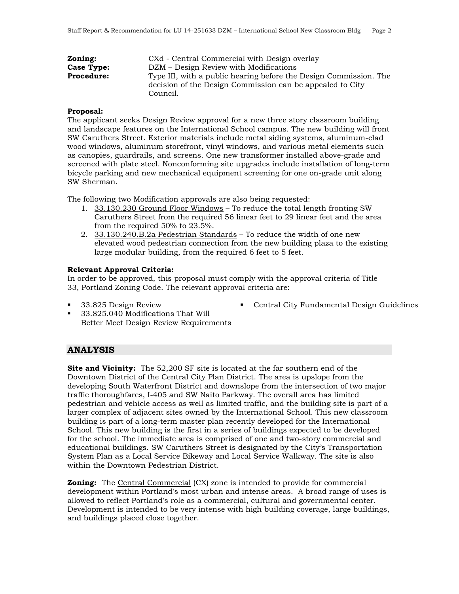| Zoning:           | CXd - Central Commercial with Design overlay                                                                                               |
|-------------------|--------------------------------------------------------------------------------------------------------------------------------------------|
| <b>Case Type:</b> | DZM – Design Review with Modifications                                                                                                     |
| <b>Procedure:</b> | Type III, with a public hearing before the Design Commission. The<br>decision of the Design Commission can be appealed to City<br>Council. |

#### **Proposal:**

The applicant seeks Design Review approval for a new three story classroom building and landscape features on the International School campus. The new building will front SW Caruthers Street. Exterior materials include metal siding systems, aluminum-clad wood windows, aluminum storefront, vinyl windows, and various metal elements such as canopies, guardrails, and screens. One new transformer installed above-grade and screened with plate steel. Nonconforming site upgrades include installation of long-term bicycle parking and new mechanical equipment screening for one on-grade unit along SW Sherman.

The following two Modification approvals are also being requested:

- 1. 33.130.230 Ground Floor Windows To reduce the total length fronting SW Caruthers Street from the required 56 linear feet to 29 linear feet and the area from the required 50% to 23.5%.
- 2. 33.130.240.B.2a Pedestrian Standards To reduce the width of one new elevated wood pedestrian connection from the new building plaza to the existing large modular building, from the required 6 feet to 5 feet.

#### **Relevant Approval Criteria:**

In order to be approved, this proposal must comply with the approval criteria of Title 33, Portland Zoning Code. The relevant approval criteria are:

33.825 Design Review

- Central City Fundamental Design Guidelines
- 33.825.040 Modifications That Will Better Meet Design Review Requirements

#### **ANALYSIS**

**Site and Vicinity:** The 52,200 SF site is located at the far southern end of the Downtown District of the Central City Plan District. The area is upslope from the developing South Waterfront District and downslope from the intersection of two major traffic thoroughfares, I-405 and SW Naito Parkway. The overall area has limited pedestrian and vehicle access as well as limited traffic, and the building site is part of a larger complex of adjacent sites owned by the International School. This new classroom building is part of a long-term master plan recently developed for the International School. This new building is the first in a series of buildings expected to be developed for the school. The immediate area is comprised of one and two-story commercial and educational buildings. SW Caruthers Street is designated by the City's Transportation System Plan as a Local Service Bikeway and Local Service Walkway. The site is also within the Downtown Pedestrian District.

**Zoning:** The Central Commercial (CX) zone is intended to provide for commercial development within Portland's most urban and intense areas. A broad range of uses is allowed to reflect Portland's role as a commercial, cultural and governmental center. Development is intended to be very intense with high building coverage, large buildings, and buildings placed close together.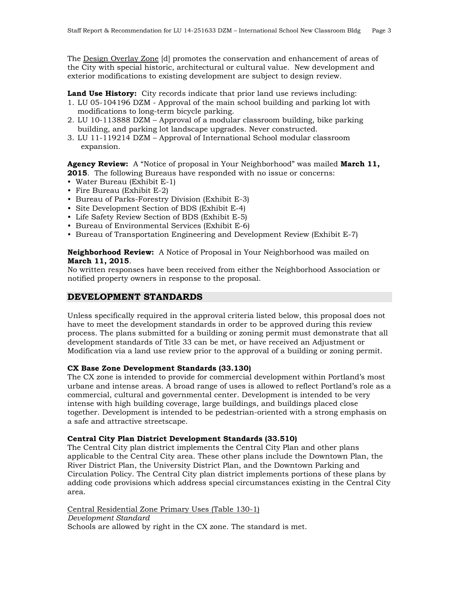The Design Overlay Zone [d] promotes the conservation and enhancement of areas of the City with special historic, architectural or cultural value. New development and exterior modifications to existing development are subject to design review.

**Land Use History:** City records indicate that prior land use reviews including:

- 1. LU 05-104196 DZM Approval of the main school building and parking lot with modifications to long-term bicycle parking.
- 2. LU 10-113888 DZM Approval of a modular classroom building, bike parking building, and parking lot landscape upgrades. Never constructed.
- 3. LU 11-119214 DZM Approval of International School modular classroom expansion.

**Agency Review:** A "Notice of proposal in Your Neighborhood" was mailed **March 11, 2015**. The following Bureaus have responded with no issue or concerns:

- Water Bureau (Exhibit E-1)
- Fire Bureau (Exhibit E-2)
- Bureau of Parks-Forestry Division (Exhibit E-3)
- Site Development Section of BDS (Exhibit E-4)
- Life Safety Review Section of BDS (Exhibit E-5)
- Bureau of Environmental Services (Exhibit E-6)
- Bureau of Transportation Engineering and Development Review (Exhibit E-7)

**Neighborhood Review:** A Notice of Proposal in Your Neighborhood was mailed on **March 11, 2015**.

No written responses have been received from either the Neighborhood Association or notified property owners in response to the proposal.

#### **DEVELOPMENT STANDARDS**

Unless specifically required in the approval criteria listed below, this proposal does not have to meet the development standards in order to be approved during this review process. The plans submitted for a building or zoning permit must demonstrate that all development standards of Title 33 can be met, or have received an Adjustment or Modification via a land use review prior to the approval of a building or zoning permit.

#### **CX Base Zone Development Standards (33.130)**

The CX zone is intended to provide for commercial development within Portland's most urbane and intense areas. A broad range of uses is allowed to reflect Portland's role as a commercial, cultural and governmental center. Development is intended to be very intense with high building coverage, large buildings, and buildings placed close together. Development is intended to be pedestrian-oriented with a strong emphasis on a safe and attractive streetscape.

#### **Central City Plan District Development Standards (33.510)**

The Central City plan district implements the Central City Plan and other plans applicable to the Central City area. These other plans include the Downtown Plan, the River District Plan, the University District Plan, and the Downtown Parking and Circulation Policy. The Central City plan district implements portions of these plans by adding code provisions which address special circumstances existing in the Central City area.

Central Residential Zone Primary Uses (Table 130-1) *Development Standard* Schools are allowed by right in the CX zone. The standard is met.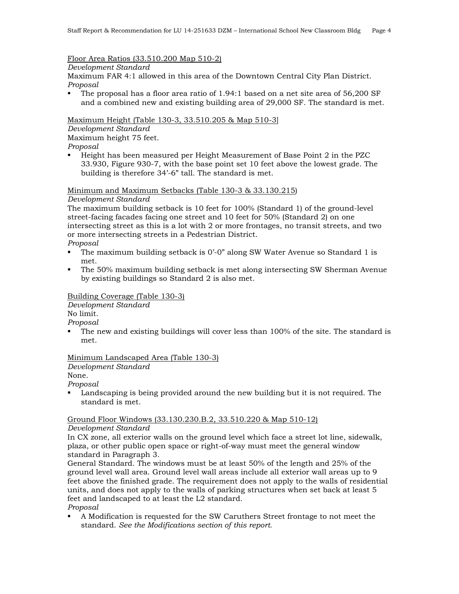#### Floor Area Ratios (33.510.200 Map 510-2)

*Development Standard*

Maximum FAR 4:1 allowed in this area of the Downtown Central City Plan District. *Proposal*

 The proposal has a floor area ratio of 1.94:1 based on a net site area of 56,200 SF and a combined new and existing building area of 29,000 SF. The standard is met.

Maximum Height (Table 130-3, 33.510.205 & Map 510-3]

*Development Standard* Maximum height 75 feet.

*Proposal* 

 Height has been measured per Height Measurement of Base Point 2 in the PZC 33.930, Figure 930-7, with the base point set 10 feet above the lowest grade. The building is therefore 34'-6" tall. The standard is met.

#### Minimum and Maximum Setbacks (Table 130-3 & 33.130.215)

#### *Development Standard*

The maximum building setback is 10 feet for 100% (Standard 1) of the ground-level street-facing facades facing one street and 10 feet for 50% (Standard 2) on one intersecting street as this is a lot with 2 or more frontages, no transit streets, and two or more intersecting streets in a Pedestrian District.

*Proposal*

- The maximum building setback is 0'-0" along SW Water Avenue so Standard 1 is met.
- The 50% maximum building setback is met along intersecting SW Sherman Avenue by existing buildings so Standard 2 is also met.

#### Building Coverage (Table 130-3)

*Development Standard*

No limit.

*Proposal*

 The new and existing buildings will cover less than 100% of the site. The standard is met.

#### Minimum Landscaped Area (Table 130-3)

*Development Standard*

None.

*Proposal*

 Landscaping is being provided around the new building but it is not required. The standard is met.

#### Ground Floor Windows (33.130.230.B.2, 33.510.220 & Map 510-12)

#### *Development Standard*

In CX zone, all exterior walls on the ground level which face a street lot line, sidewalk, plaza, or other public open space or right-of-way must meet the general window standard in Paragraph 3.

General Standard. The windows must be at least 50% of the length and 25% of the ground level wall area. Ground level wall areas include all exterior wall areas up to 9 feet above the finished grade. The requirement does not apply to the walls of residential units, and does not apply to the walls of parking structures when set back at least 5 feet and landscaped to at least the L2 standard.

*Proposal*

 A Modification is requested for the SW Caruthers Street frontage to not meet the standard. *See the Modifications section of this report.*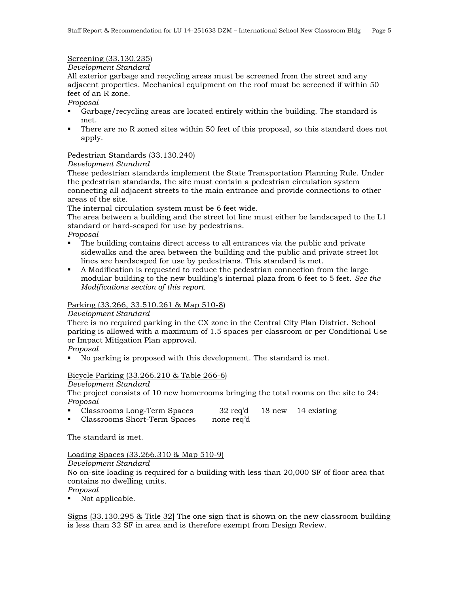#### Screening (33.130.235)

#### *Development Standard*

All exterior garbage and recycling areas must be screened from the street and any adjacent properties. Mechanical equipment on the roof must be screened if within 50 feet of an R zone.

#### *Proposal*

- Garbage/recycling areas are located entirely within the building. The standard is met.
- There are no R zoned sites within 50 feet of this proposal, so this standard does not apply.

#### Pedestrian Standards (33.130.240)

#### *Development Standard*

These pedestrian standards implement the State Transportation Planning Rule. Under the pedestrian standards, the site must contain a pedestrian circulation system connecting all adjacent streets to the main entrance and provide connections to other areas of the site.

The internal circulation system must be 6 feet wide.

The area between a building and the street lot line must either be landscaped to the L1 standard or hard-scaped for use by pedestrians.

- *Proposal*
- The building contains direct access to all entrances via the public and private sidewalks and the area between the building and the public and private street lot lines are hardscaped for use by pedestrians. This standard is met.
- A Modification is requested to reduce the pedestrian connection from the large modular building to the new building's internal plaza from 6 feet to 5 feet. *See the Modifications section of this report.*

#### Parking (33.266, 33.510.261 & Map 510-8)

#### *Development Standard*

There is no required parking in the CX zone in the Central City Plan District. School parking is allowed with a maximum of 1.5 spaces per classroom or per Conditional Use or Impact Mitigation Plan approval.

#### *Proposal*

No parking is proposed with this development. The standard is met.

#### Bicycle Parking (33.266.210 & Table 266-6)

#### *Development Standard*

The project consists of 10 new homerooms bringing the total rooms on the site to 24: *Proposal*

- Classrooms Long-Term Spaces 32 req'd 18 new 14 existing
- Classrooms Short-Term Spaces none req'd

The standard is met.

#### Loading Spaces (33.266.310 & Map 510-9)

*Development Standard*

No on-site loading is required for a building with less than 20,000 SF of floor area that contains no dwelling units.

*Proposal*

• Not applicable.

Signs (33.130.295 & Title 32] The one sign that is shown on the new classroom building is less than 32 SF in area and is therefore exempt from Design Review.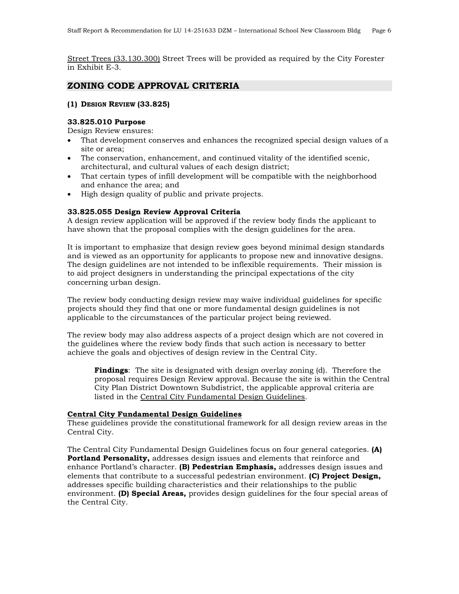Street Trees (33.130.300) Street Trees will be provided as required by the City Forester in Exhibit E-3.

#### **ZONING CODE APPROVAL CRITERIA**

#### **(1) DESIGN REVIEW (33.825)**

#### **33.825.010 Purpose**

Design Review ensures:

- That development conserves and enhances the recognized special design values of a site or area;
- The conservation, enhancement, and continued vitality of the identified scenic, architectural, and cultural values of each design district;
- That certain types of infill development will be compatible with the neighborhood and enhance the area; and
- High design quality of public and private projects.

#### **33.825.055 Design Review Approval Criteria**

A design review application will be approved if the review body finds the applicant to have shown that the proposal complies with the design guidelines for the area.

It is important to emphasize that design review goes beyond minimal design standards and is viewed as an opportunity for applicants to propose new and innovative designs. The design guidelines are not intended to be inflexible requirements. Their mission is to aid project designers in understanding the principal expectations of the city concerning urban design.

The review body conducting design review may waive individual guidelines for specific projects should they find that one or more fundamental design guidelines is not applicable to the circumstances of the particular project being reviewed.

The review body may also address aspects of a project design which are not covered in the guidelines where the review body finds that such action is necessary to better achieve the goals and objectives of design review in the Central City.

**Findings**: The site is designated with design overlay zoning (d). Therefore the proposal requires Design Review approval. Because the site is within the Central City Plan District Downtown Subdistrict, the applicable approval criteria are listed in the Central City Fundamental Design Guidelines.

#### **Central City Fundamental Design Guidelines**

These guidelines provide the constitutional framework for all design review areas in the Central City.

The Central City Fundamental Design Guidelines focus on four general categories. **(A) Portland Personality,** addresses design issues and elements that reinforce and enhance Portland's character. **(B) Pedestrian Emphasis,** addresses design issues and elements that contribute to a successful pedestrian environment. **(C) Project Design,** addresses specific building characteristics and their relationships to the public environment. **(D) Special Areas,** provides design guidelines for the four special areas of the Central City.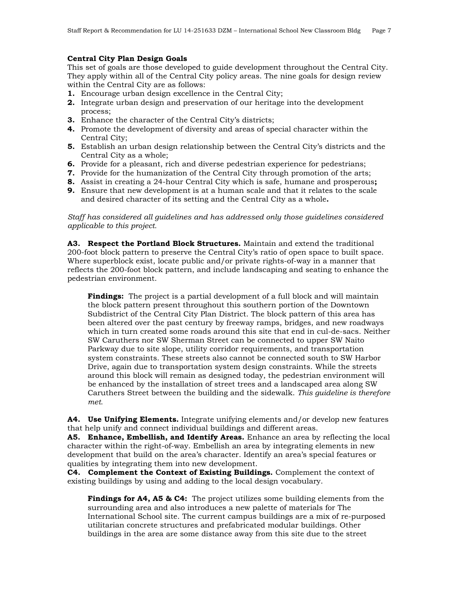#### **Central City Plan Design Goals**

This set of goals are those developed to guide development throughout the Central City. They apply within all of the Central City policy areas. The nine goals for design review within the Central City are as follows:

- **1.** Encourage urban design excellence in the Central City;
- **2.** Integrate urban design and preservation of our heritage into the development process;
- **3.** Enhance the character of the Central City's districts;
- **4.** Promote the development of diversity and areas of special character within the Central City;
- **5.** Establish an urban design relationship between the Central City's districts and the Central City as a whole;
- **6.** Provide for a pleasant, rich and diverse pedestrian experience for pedestrians;
- **7.** Provide for the humanization of the Central City through promotion of the arts;
- **8.** Assist in creating a 24-hour Central City which is safe, humane and prosperous**;**
- **9.** Ensure that new development is at a human scale and that it relates to the scale and desired character of its setting and the Central City as a whole**.**

*Staff has considered all guidelines and has addressed only those guidelines considered applicable to this project.*

**A3. Respect the Portland Block Structures.** Maintain and extend the traditional 200-foot block pattern to preserve the Central City's ratio of open space to built space. Where superblock exist, locate public and/or private rights-of-way in a manner that reflects the 200-foot block pattern, and include landscaping and seating to enhance the pedestrian environment.

**Findings:** The project is a partial development of a full block and will maintain the block pattern present throughout this southern portion of the Downtown Subdistrict of the Central City Plan District. The block pattern of this area has been altered over the past century by freeway ramps, bridges, and new roadways which in turn created some roads around this site that end in cul-de-sacs. Neither SW Caruthers nor SW Sherman Street can be connected to upper SW Naito Parkway due to site slope, utility corridor requirements, and transportation system constraints. These streets also cannot be connected south to SW Harbor Drive, again due to transportation system design constraints. While the streets around this block will remain as designed today, the pedestrian environment will be enhanced by the installation of street trees and a landscaped area along SW Caruthers Street between the building and the sidewalk. *This guideline is therefore met.*

**A4. Use Unifying Elements.** Integrate unifying elements and/or develop new features that help unify and connect individual buildings and different areas.

**A5. Enhance, Embellish, and Identify Areas.** Enhance an area by reflecting the local character within the right-of-way. Embellish an area by integrating elements in new development that build on the area's character. Identify an area's special features or qualities by integrating them into new development.

**C4. Complement the Context of Existing Buildings.** Complement the context of existing buildings by using and adding to the local design vocabulary.

**Findings for A4, A5 & C4:** The project utilizes some building elements from the surrounding area and also introduces a new palette of materials for The International School site. The current campus buildings are a mix of re-purposed utilitarian concrete structures and prefabricated modular buildings. Other buildings in the area are some distance away from this site due to the street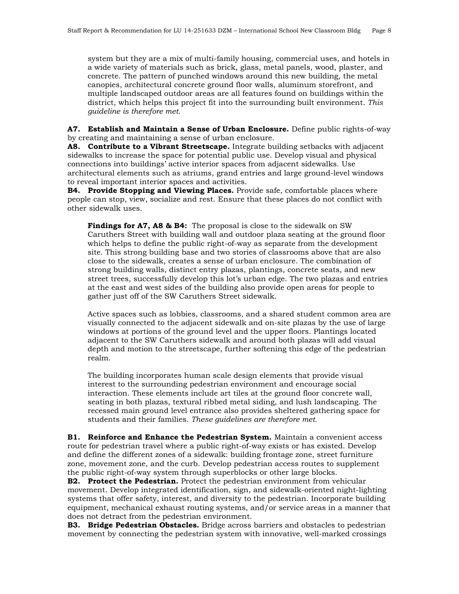system but they are a mix of multi-family housing, commercial uses, and hotels in a wide variety of materials such as brick, glass, metal panels, wood, plaster, and concrete. The pattern of punched windows around this new building, the metal canopies, architectural concrete ground floor walls, aluminum storefront, and multiple landscaped outdoor areas are all features found on buildings within the district, which helps this project fit into the surrounding built environment. *This guideline is therefore met.*

**A7. Establish and Maintain a Sense of Urban Enclosure.** Define public rights-of-way by creating and maintaining a sense of urban enclosure.

**A8. Contribute to a Vibrant Streetscape.** Integrate building setbacks with adjacent sidewalks to increase the space for potential public use. Develop visual and physical connections into buildings' active interior spaces from adjacent sidewalks. Use architectural elements such as atriums, grand entries and large ground-level windows to reveal important interior spaces and activities.

**B4. Provide Stopping and Viewing Places.** Provide safe, comfortable places where people can stop, view, socialize and rest. Ensure that these places do not conflict with other sidewalk uses.

**Findings for A7, A8 & B4:** The proposal is close to the sidewalk on SW Caruthers Street with building wall and outdoor plaza seating at the ground floor which helps to define the public right-of-way as separate from the development site. This strong building base and two stories of classrooms above that are also close to the sidewalk, creates a sense of urban enclosure. The combination of strong building walls, distinct entry plazas, plantings, concrete seats, and new street trees, successfully develop this lot's urban edge. The two plazas and entries at the east and west sides of the building also provide open areas for people to gather just off of the SW Caruthers Street sidewalk.

Active spaces such as lobbies, classrooms, and a shared student common area are visually connected to the adjacent sidewalk and on-site plazas by the use of large windows at portions of the ground level and the upper floors. Plantings located adjacent to the SW Caruthers sidewalk and around both plazas will add visual depth and motion to the streetscape, further softening this edge of the pedestrian realm.

The building incorporates human scale design elements that provide visual interest to the surrounding pedestrian environment and encourage social interaction. These elements include art tiles at the ground floor concrete wall, seating in both plazas, textural ribbed metal siding, and lush landscaping. The recessed main ground level entrance also provides sheltered gathering space for students and their families. *These guidelines are therefore met.*

**B1. Reinforce and Enhance the Pedestrian System.** Maintain a convenient access route for pedestrian travel where a public right-of-way exists or has existed. Develop and define the different zones of a sidewalk: building frontage zone, street furniture zone, movement zone, and the curb. Develop pedestrian access routes to supplement the public right-of-way system through superblocks or other large blocks.

**B2. Protect the Pedestrian.** Protect the pedestrian environment from vehicular movement. Develop integrated identification, sign, and sidewalk-oriented night-lighting systems that offer safety, interest, and diversity to the pedestrian. Incorporate building equipment, mechanical exhaust routing systems, and/or service areas in a manner that does not detract from the pedestrian environment.

**B3. Bridge Pedestrian Obstacles.** Bridge across barriers and obstacles to pedestrian movement by connecting the pedestrian system with innovative, well-marked crossings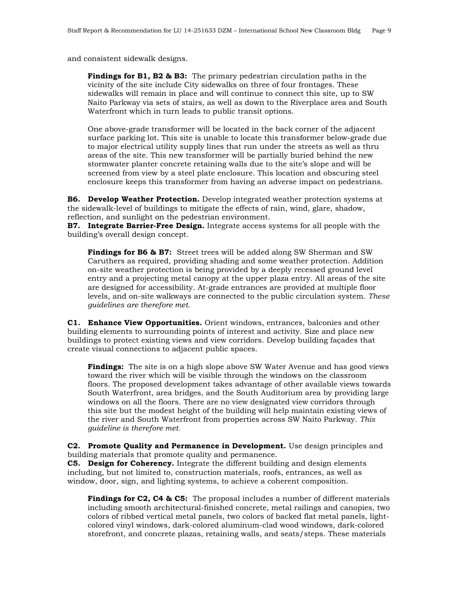and consistent sidewalk designs.

**Findings for B1, B2 & B3:** The primary pedestrian circulation paths in the vicinity of the site include City sidewalks on three of four frontages. These sidewalks will remain in place and will continue to connect this site, up to SW Naito Parkway via sets of stairs, as well as down to the Riverplace area and South Waterfront which in turn leads to public transit options.

One above-grade transformer will be located in the back corner of the adjacent surface parking lot. This site is unable to locate this transformer below-grade due to major electrical utility supply lines that run under the streets as well as thru areas of the site. This new transformer will be partially buried behind the new stormwater planter concrete retaining walls due to the site's slope and will be screened from view by a steel plate enclosure. This location and obscuring steel enclosure keeps this transformer from having an adverse impact on pedestrians.

**B6. Develop Weather Protection.** Develop integrated weather protection systems at the sidewalk-level of buildings to mitigate the effects of rain, wind, glare, shadow, reflection, and sunlight on the pedestrian environment.

**B7. Integrate Barrier-Free Design.** Integrate access systems for all people with the building's overall design concept.

**Findings for B6 & B7:** Street trees will be added along SW Sherman and SW Caruthers as required, providing shading and some weather protection. Addition on-site weather protection is being provided by a deeply recessed ground level entry and a projecting metal canopy at the upper plaza entry. All areas of the site are designed for accessibility. At-grade entrances are provided at multiple floor levels, and on-site walkways are connected to the public circulation system. *These guidelines are therefore met.*

**C1. Enhance View Opportunities.** Orient windows, entrances, balconies and other building elements to surrounding points of interest and activity. Size and place new buildings to protect existing views and view corridors. Develop building façades that create visual connections to adjacent public spaces.

**Findings:** The site is on a high slope above SW Water Avenue and has good views toward the river which will be visible through the windows on the classroom floors. The proposed development takes advantage of other available views towards South Waterfront, area bridges, and the South Auditorium area by providing large windows on all the floors. There are no view designated view corridors through this site but the modest height of the building will help maintain existing views of the river and South Waterfront from properties across SW Naito Parkway. *This guideline is therefore met.*

**C2. Promote Quality and Permanence in Development.** Use design principles and building materials that promote quality and permanence.

**C5. Design for Coherency.** Integrate the different building and design elements including, but not limited to, construction materials, roofs, entrances, as well as window, door, sign, and lighting systems, to achieve a coherent composition.

**Findings for C2, C4 & C5:** The proposal includes a number of different materials including smooth architectural-finished concrete, metal railings and canopies, two colors of ribbed vertical metal panels, two colors of backed flat metal panels, lightcolored vinyl windows, dark-colored aluminum-clad wood windows, dark-colored storefront, and concrete plazas, retaining walls, and seats/steps. These materials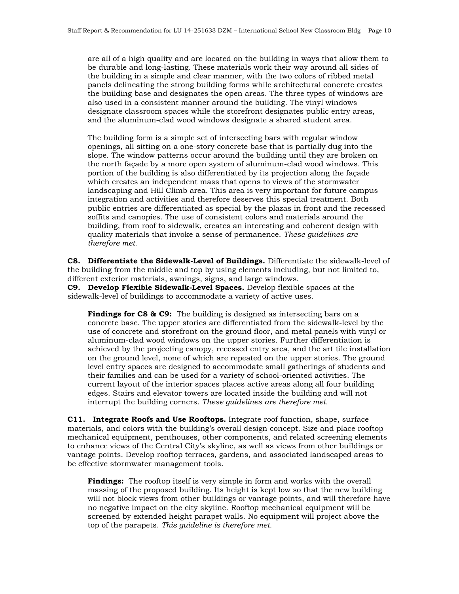are all of a high quality and are located on the building in ways that allow them to be durable and long-lasting. These materials work their way around all sides of the building in a simple and clear manner, with the two colors of ribbed metal panels delineating the strong building forms while architectural concrete creates the building base and designates the open areas. The three types of windows are also used in a consistent manner around the building. The vinyl windows designate classroom spaces while the storefront designates public entry areas, and the aluminum-clad wood windows designate a shared student area.

The building form is a simple set of intersecting bars with regular window openings, all sitting on a one-story concrete base that is partially dug into the slope. The window patterns occur around the building until they are broken on the north façade by a more open system of aluminum-clad wood windows. This portion of the building is also differentiated by its projection along the façade which creates an independent mass that opens to views of the stormwater landscaping and Hill Climb area. This area is very important for future campus integration and activities and therefore deserves this special treatment. Both public entries are differentiated as special by the plazas in front and the recessed soffits and canopies. The use of consistent colors and materials around the building, from roof to sidewalk, creates an interesting and coherent design with quality materials that invoke a sense of permanence. *These guidelines are therefore met.*

**C8. Differentiate the Sidewalk-Level of Buildings.** Differentiate the sidewalk-level of the building from the middle and top by using elements including, but not limited to, different exterior materials, awnings, signs, and large windows.

**C9. Develop Flexible Sidewalk-Level Spaces.** Develop flexible spaces at the sidewalk-level of buildings to accommodate a variety of active uses.

**Findings for C8 & C9:** The building is designed as intersecting bars on a concrete base. The upper stories are differentiated from the sidewalk-level by the use of concrete and storefront on the ground floor, and metal panels with vinyl or aluminum-clad wood windows on the upper stories. Further differentiation is achieved by the projecting canopy, recessed entry area, and the art tile installation on the ground level, none of which are repeated on the upper stories. The ground level entry spaces are designed to accommodate small gatherings of students and their families and can be used for a variety of school-oriented activities. The current layout of the interior spaces places active areas along all four building edges. Stairs and elevator towers are located inside the building and will not interrupt the building corners. *These guidelines are therefore met.*

**C11. Integrate Roofs and Use Rooftops.** Integrate roof function, shape, surface materials, and colors with the building's overall design concept. Size and place rooftop mechanical equipment, penthouses, other components, and related screening elements to enhance views of the Central City's skyline, as well as views from other buildings or vantage points. Develop rooftop terraces, gardens, and associated landscaped areas to be effective stormwater management tools.

**Findings:** The rooftop itself is very simple in form and works with the overall massing of the proposed building. Its height is kept low so that the new building will not block views from other buildings or vantage points, and will therefore have no negative impact on the city skyline. Rooftop mechanical equipment will be screened by extended height parapet walls. No equipment will project above the top of the parapets. *This guideline is therefore met.*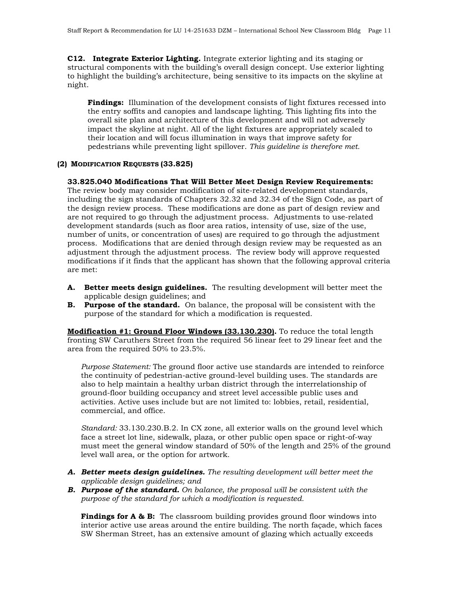**C12. Integrate Exterior Lighting.** Integrate exterior lighting and its staging or structural components with the building's overall design concept. Use exterior lighting to highlight the building's architecture, being sensitive to its impacts on the skyline at night.

**Findings:** Illumination of the development consists of light fixtures recessed into the entry soffits and canopies and landscape lighting. This lighting fits into the overall site plan and architecture of this development and will not adversely impact the skyline at night. All of the light fixtures are appropriately scaled to their location and will focus illumination in ways that improve safety for pedestrians while preventing light spillover. *This guideline is therefore met.*

#### **(2) MODIFICATION REQUESTS (33.825)**

#### **33.825.040 Modifications That Will Better Meet Design Review Requirements:**

The review body may consider modification of site-related development standards, including the sign standards of Chapters 32.32 and 32.34 of the Sign Code, as part of the design review process. These modifications are done as part of design review and are not required to go through the adjustment process. Adjustments to use-related development standards (such as floor area ratios, intensity of use, size of the use, number of units, or concentration of uses) are required to go through the adjustment process. Modifications that are denied through design review may be requested as an adjustment through the adjustment process. The review body will approve requested modifications if it finds that the applicant has shown that the following approval criteria are met:

- **A. Better meets design guidelines.** The resulting development will better meet the applicable design guidelines; and
- **B. Purpose of the standard.** On balance, the proposal will be consistent with the purpose of the standard for which a modification is requested.

**Modification #1: Ground Floor Windows (33.130.230).** To reduce the total length fronting SW Caruthers Street from the required 56 linear feet to 29 linear feet and the area from the required 50% to 23.5%.

*Purpose Statement:* The ground floor active use standards are intended to reinforce the continuity of pedestrian-active ground-level building uses. The standards are also to help maintain a healthy urban district through the interrelationship of ground-floor building occupancy and street level accessible public uses and activities. Active uses include but are not limited to: lobbies, retail, residential, commercial, and office.

*Standard:* 33.130.230.B.2. In CX zone, all exterior walls on the ground level which face a street lot line, sidewalk, plaza, or other public open space or right-of-way must meet the general window standard of 50% of the length and 25% of the ground level wall area, or the option for artwork.

- *A. Better meets design guidelines. The resulting development will better meet the applicable design guidelines; and*
- *B. Purpose of the standard. On balance, the proposal will be consistent with the purpose of the standard for which a modification is requested.*

**Findings for A & B:** The classroom building provides ground floor windows into interior active use areas around the entire building. The north façade, which faces SW Sherman Street, has an extensive amount of glazing which actually exceeds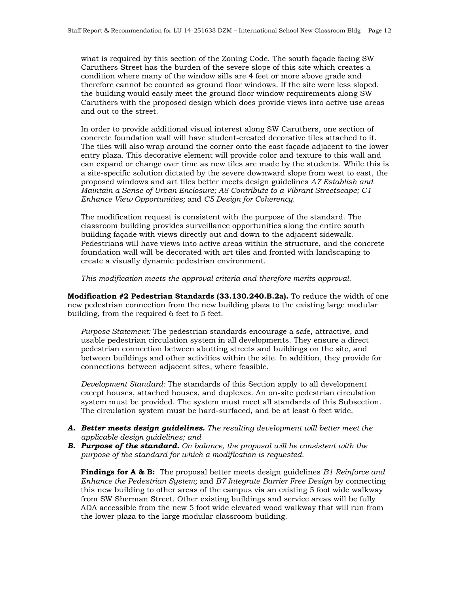what is required by this section of the Zoning Code. The south façade facing SW Caruthers Street has the burden of the severe slope of this site which creates a condition where many of the window sills are 4 feet or more above grade and therefore cannot be counted as ground floor windows. If the site were less sloped, the building would easily meet the ground floor window requirements along SW Caruthers with the proposed design which does provide views into active use areas and out to the street.

In order to provide additional visual interest along SW Caruthers, one section of concrete foundation wall will have student-created decorative tiles attached to it. The tiles will also wrap around the corner onto the east façade adjacent to the lower entry plaza. This decorative element will provide color and texture to this wall and can expand or change over time as new tiles are made by the students. While this is a site-specific solution dictated by the severe downward slope from west to east, the proposed windows and art tiles better meets design guidelines *A7 Establish and Maintain a Sense of Urban Enclosure; A8 Contribute to a Vibrant Streetscape; C1 Enhance View Opportunities;* and *C5 Design for Coherency*.

The modification request is consistent with the purpose of the standard. The classroom building provides surveillance opportunities along the entire south building façade with views directly out and down to the adjacent sidewalk. Pedestrians will have views into active areas within the structure, and the concrete foundation wall will be decorated with art tiles and fronted with landscaping to create a visually dynamic pedestrian environment.

*This modification meets the approval criteria and therefore merits approval.*

**Modification #2 Pedestrian Standards (33.130.240.B.2a).** To reduce the width of one new pedestrian connection from the new building plaza to the existing large modular building, from the required 6 feet to 5 feet.

*Purpose Statement:* The pedestrian standards encourage a safe, attractive, and usable pedestrian circulation system in all developments. They ensure a direct pedestrian connection between abutting streets and buildings on the site, and between buildings and other activities within the site. In addition, they provide for connections between adjacent sites, where feasible.

*Development Standard:* The standards of this Section apply to all development except houses, attached houses, and duplexes. An on-site pedestrian circulation system must be provided. The system must meet all standards of this Subsection. The circulation system must be hard-surfaced, and be at least 6 feet wide.

- *A. Better meets design guidelines. The resulting development will better meet the applicable design guidelines; and*
- *B. Purpose of the standard. On balance, the proposal will be consistent with the purpose of the standard for which a modification is requested.*

**Findings for A & B:** The proposal better meets design guidelines *B1 Reinforce and Enhance the Pedestrian System;* and *B7 Integrate Barrier Free Design* by connecting this new building to other areas of the campus via an existing 5 foot wide walkway from SW Sherman Street. Other existing buildings and service areas will be fully ADA accessible from the new 5 foot wide elevated wood walkway that will run from the lower plaza to the large modular classroom building.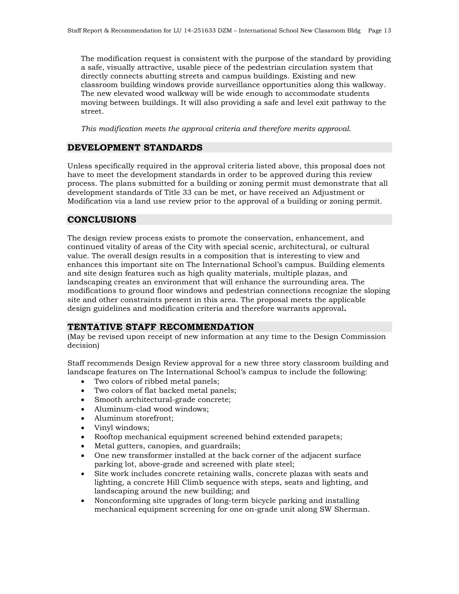The modification request is consistent with the purpose of the standard by providing a safe, visually attractive, usable piece of the pedestrian circulation system that directly connects abutting streets and campus buildings. Existing and new classroom building windows provide surveillance opportunities along this walkway. The new elevated wood walkway will be wide enough to accommodate students moving between buildings. It will also providing a safe and level exit pathway to the street.

*This modification meets the approval criteria and therefore merits approval.*

#### **DEVELOPMENT STANDARDS**

Unless specifically required in the approval criteria listed above, this proposal does not have to meet the development standards in order to be approved during this review process. The plans submitted for a building or zoning permit must demonstrate that all development standards of Title 33 can be met, or have received an Adjustment or Modification via a land use review prior to the approval of a building or zoning permit.

#### **CONCLUSIONS**

The design review process exists to promote the conservation, enhancement, and continued vitality of areas of the City with special scenic, architectural, or cultural value. The overall design results in a composition that is interesting to view and enhances this important site on The International School's campus. Building elements and site design features such as high quality materials, multiple plazas, and landscaping creates an environment that will enhance the surrounding area. The modifications to ground floor windows and pedestrian connections recognize the sloping site and other constraints present in this area. The proposal meets the applicable design guidelines and modification criteria and therefore warrants approval**.**

#### **TENTATIVE STAFF RECOMMENDATION**

(May be revised upon receipt of new information at any time to the Design Commission decision)

Staff recommends Design Review approval for a new three story classroom building and landscape features on The International School's campus to include the following:

- Two colors of ribbed metal panels;
- Two colors of flat backed metal panels;
- Smooth architectural-grade concrete;
- Aluminum-clad wood windows;
- Aluminum storefront;
- Vinyl windows;
- Rooftop mechanical equipment screened behind extended parapets;
- Metal gutters, canopies, and guardrails;
- One new transformer installed at the back corner of the adjacent surface parking lot, above-grade and screened with plate steel;
- Site work includes concrete retaining walls, concrete plazas with seats and lighting, a concrete Hill Climb sequence with steps, seats and lighting, and landscaping around the new building; and
- Nonconforming site upgrades of long-term bicycle parking and installing mechanical equipment screening for one on-grade unit along SW Sherman.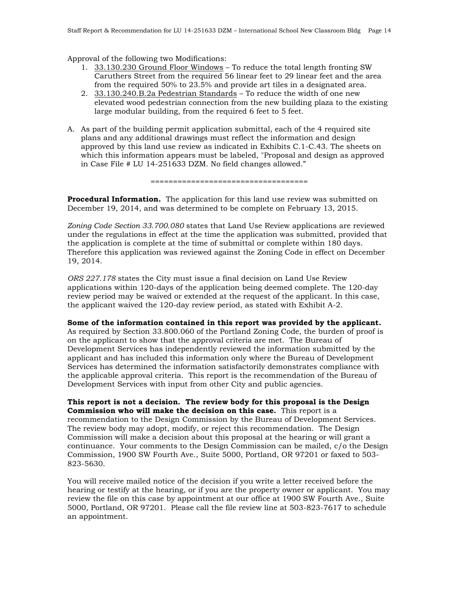Approval of the following two Modifications:

- 1. 33.130.230 Ground Floor Windows To reduce the total length fronting SW Caruthers Street from the required 56 linear feet to 29 linear feet and the area from the required 50% to 23.5% and provide art tiles in a designated area.
- 2. 33.130.240.B.2a Pedestrian Standards To reduce the width of one new elevated wood pedestrian connection from the new building plaza to the existing large modular building, from the required 6 feet to 5 feet.
- A. As part of the building permit application submittal, each of the 4 required site plans and any additional drawings must reflect the information and design approved by this land use review as indicated in Exhibits C.1-C.43. The sheets on which this information appears must be labeled, "Proposal and design as approved in Case File # LU 14-251633 DZM. No field changes allowed."

===================================

**Procedural Information.** The application for this land use review was submitted on December 19, 2014, and was determined to be complete on February 13, 2015.

*Zoning Code Section 33.700.080* states that Land Use Review applications are reviewed under the regulations in effect at the time the application was submitted, provided that the application is complete at the time of submittal or complete within 180 days. Therefore this application was reviewed against the Zoning Code in effect on December 19, 2014.

*ORS 227.178* states the City must issue a final decision on Land Use Review applications within 120-days of the application being deemed complete. The 120-day review period may be waived or extended at the request of the applicant. In this case, the applicant waived the 120-day review period, as stated with Exhibit A-2.

**Some of the information contained in this report was provided by the applicant.** As required by Section 33.800.060 of the Portland Zoning Code, the burden of proof is on the applicant to show that the approval criteria are met. The Bureau of Development Services has independently reviewed the information submitted by the applicant and has included this information only where the Bureau of Development Services has determined the information satisfactorily demonstrates compliance with the applicable approval criteria. This report is the recommendation of the Bureau of Development Services with input from other City and public agencies.

**This report is not a decision. The review body for this proposal is the Design Commission who will make the decision on this case.** This report is a recommendation to the Design Commission by the Bureau of Development Services. The review body may adopt, modify, or reject this recommendation. The Design Commission will make a decision about this proposal at the hearing or will grant a continuance. Your comments to the Design Commission can be mailed, c/o the Design Commission, 1900 SW Fourth Ave., Suite 5000, Portland, OR 97201 or faxed to 503- 823-5630.

You will receive mailed notice of the decision if you write a letter received before the hearing or testify at the hearing, or if you are the property owner or applicant. You may review the file on this case by appointment at our office at 1900 SW Fourth Ave., Suite 5000, Portland, OR 97201. Please call the file review line at 503-823-7617 to schedule an appointment.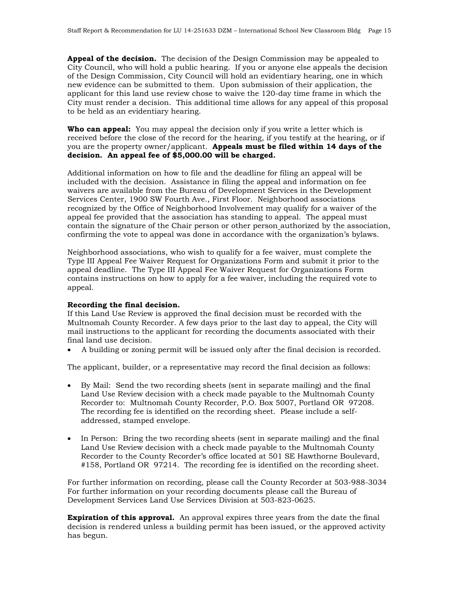**Appeal of the decision.** The decision of the Design Commission may be appealed to City Council, who will hold a public hearing. If you or anyone else appeals the decision of the Design Commission, City Council will hold an evidentiary hearing, one in which new evidence can be submitted to them. Upon submission of their application, the applicant for this land use review chose to waive the 120-day time frame in which the City must render a decision. This additional time allows for any appeal of this proposal to be held as an evidentiary hearing.

**Who can appeal:** You may appeal the decision only if you write a letter which is received before the close of the record for the hearing, if you testify at the hearing, or if you are the property owner/applicant. **Appeals must be filed within 14 days of the decision. An appeal fee of \$5,000.00 will be charged.**

Additional information on how to file and the deadline for filing an appeal will be included with the decision. Assistance in filing the appeal and information on fee waivers are available from the Bureau of Development Services in the Development Services Center, 1900 SW Fourth Ave., First Floor. Neighborhood associations recognized by the Office of Neighborhood Involvement may qualify for a waiver of the appeal fee provided that the association has standing to appeal. The appeal must contain the signature of the Chair person or other person authorized by the association, confirming the vote to appeal was done in accordance with the organization's bylaws.

Neighborhood associations, who wish to qualify for a fee waiver, must complete the Type III Appeal Fee Waiver Request for Organizations Form and submit it prior to the appeal deadline. The Type III Appeal Fee Waiver Request for Organizations Form contains instructions on how to apply for a fee waiver, including the required vote to appeal.

#### **Recording the final decision.**

If this Land Use Review is approved the final decision must be recorded with the Multnomah County Recorder. A few days prior to the last day to appeal, the City will mail instructions to the applicant for recording the documents associated with their final land use decision.

• A building or zoning permit will be issued only after the final decision is recorded.

The applicant, builder, or a representative may record the final decision as follows:

- By Mail: Send the two recording sheets (sent in separate mailing) and the final Land Use Review decision with a check made payable to the Multnomah County Recorder to: Multnomah County Recorder, P.O. Box 5007, Portland OR 97208. The recording fee is identified on the recording sheet. Please include a selfaddressed, stamped envelope.
- In Person: Bring the two recording sheets (sent in separate mailing) and the final Land Use Review decision with a check made payable to the Multnomah County Recorder to the County Recorder's office located at 501 SE Hawthorne Boulevard, #158, Portland OR 97214. The recording fee is identified on the recording sheet.

For further information on recording, please call the County Recorder at 503-988-3034 For further information on your recording documents please call the Bureau of Development Services Land Use Services Division at 503-823-0625.

**Expiration of this approval.** An approval expires three years from the date the final decision is rendered unless a building permit has been issued, or the approved activity has begun.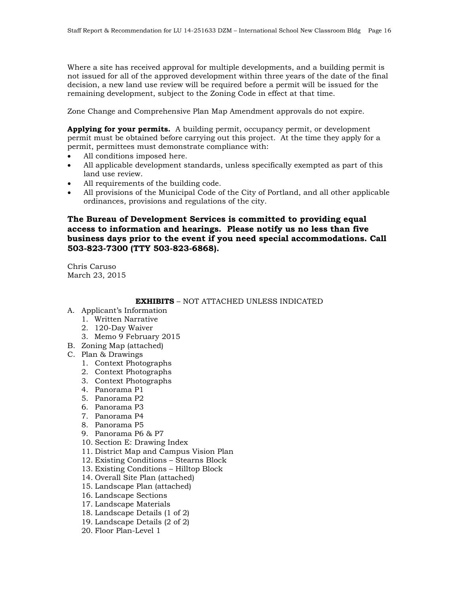Where a site has received approval for multiple developments, and a building permit is not issued for all of the approved development within three years of the date of the final decision, a new land use review will be required before a permit will be issued for the remaining development, subject to the Zoning Code in effect at that time.

Zone Change and Comprehensive Plan Map Amendment approvals do not expire.

**Applying for your permits.** A building permit, occupancy permit, or development permit must be obtained before carrying out this project. At the time they apply for a permit, permittees must demonstrate compliance with:

- All conditions imposed here.
- All applicable development standards, unless specifically exempted as part of this land use review.
- All requirements of the building code.
- All provisions of the Municipal Code of the City of Portland, and all other applicable ordinances, provisions and regulations of the city.

#### **The Bureau of Development Services is committed to providing equal access to information and hearings. Please notify us no less than five business days prior to the event if you need special accommodations. Call 503-823-7300 (TTY 503-823-6868).**

Chris Caruso March 23, 2015

**EXHIBITS** – NOT ATTACHED UNLESS INDICATED

- A. Applicant's Information
	- 1. Written Narrative
	- 2. 120-Day Waiver
	- 3. Memo 9 February 2015
- B. Zoning Map (attached)
- C. Plan & Drawings
	- 1. Context Photographs
	- 2. Context Photographs
	- 3. Context Photographs
	- 4. Panorama P1
	- 5. Panorama P2
	- 6. Panorama P3
	- 7. Panorama P4
	- 8. Panorama P5
	- 9. Panorama P6 & P7
	- 10. Section E: Drawing Index
	- 11. District Map and Campus Vision Plan
	- 12. Existing Conditions Stearns Block
	- 13. Existing Conditions Hilltop Block
	- 14. Overall Site Plan (attached)
	- 15. Landscape Plan (attached)
	- 16. Landscape Sections
	- 17. Landscape Materials
	- 18. Landscape Details (1 of 2)
	- 19. Landscape Details (2 of 2)
	- 20. Floor Plan-Level 1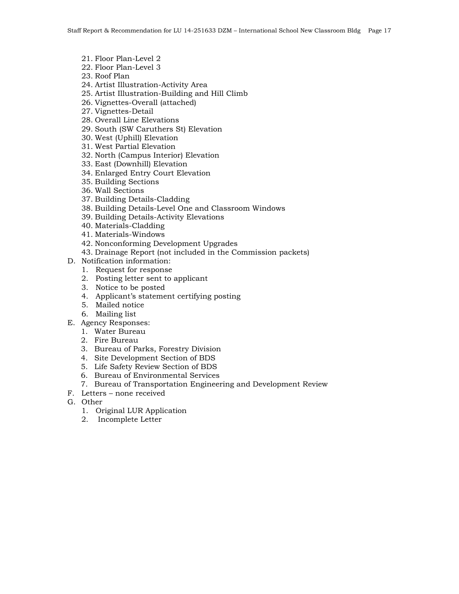- 21. Floor Plan-Level 2
- 22. Floor Plan-Level 3
- 23. Roof Plan
- 24. Artist Illustration-Activity Area
- 25. Artist Illustration-Building and Hill Climb
- 26. Vignettes-Overall (attached)
- 27. Vignettes-Detail
- 28. Overall Line Elevations
- 29. South (SW Caruthers St) Elevation
- 30. West (Uphill) Elevation
- 31. West Partial Elevation
- 32. North (Campus Interior) Elevation
- 33. East (Downhill) Elevation
- 34. Enlarged Entry Court Elevation
- 35. Building Sections
- 36. Wall Sections
- 37. Building Details-Cladding
- 38. Building Details-Level One and Classroom Windows
- 39. Building Details-Activity Elevations
- 40. Materials-Cladding
- 41. Materials-Windows
- 42. Nonconforming Development Upgrades
- 43. Drainage Report (not included in the Commission packets)
- D. Notification information:
	- 1. Request for response
	- 2. Posting letter sent to applicant
	- 3. Notice to be posted
	- 4. Applicant's statement certifying posting
	- 5. Mailed notice
	- 6. Mailing list
- E. Agency Responses:
	- 1. Water Bureau
	- 2. Fire Bureau
	- 3. Bureau of Parks, Forestry Division
	- 4. Site Development Section of BDS
	- 5. Life Safety Review Section of BDS
	- 6. Bureau of Environmental Services
	- 7. Bureau of Transportation Engineering and Development Review
- F. Letters none received
- G. Other
	- 1. Original LUR Application
	- 2. Incomplete Letter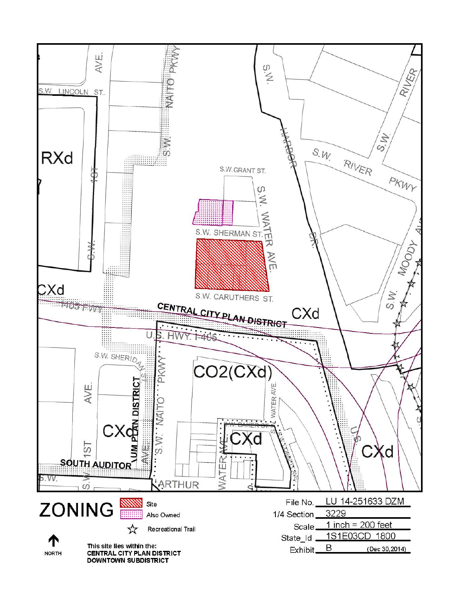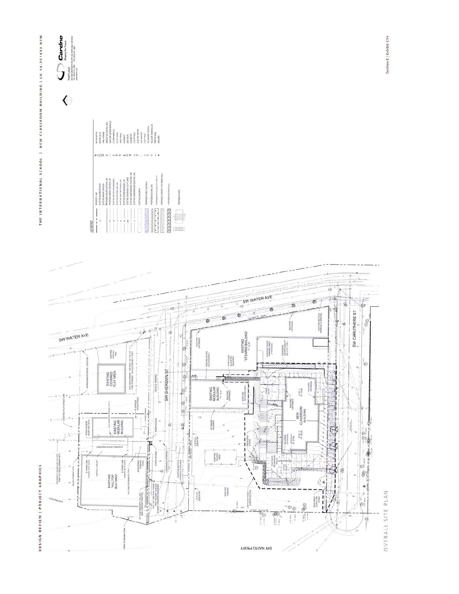

 $\bigodot_{\substack{\text{Suppose }\\ \text{non-convex}}\\ \text{non-convex over }\\ \text{non-convex over }\\ \text{non-convex over }\\ \text{non-convex over }\\ \text{non-convex over }\\ \text{non-convex over }\\ \text{non-convex over }\\ \text{non-convex over }\\ \text{non-convex over }\\ \text{non-convex over }\\ \text{non-convex over }\\ \text{non-convex over }\\ \text{non-convex over }\\ \text{non-convex over }\\ \text{non-convex over }\\ \text{non-convex over }\\ \text{non-convex over }\\ \text{non-convex over }\\ \text{non-convex over }\\ \text{non-conv$ 





Section E | Exhibit C14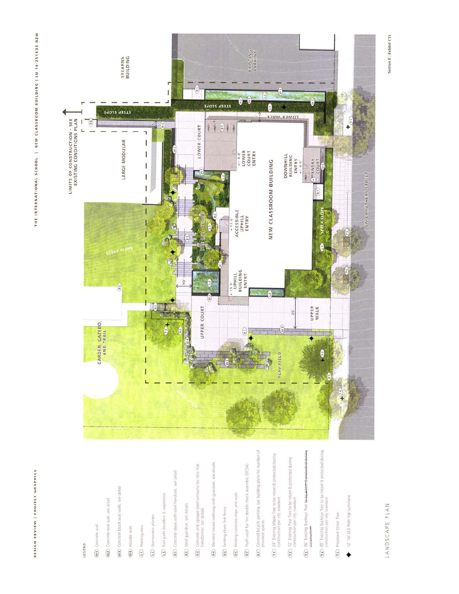## LEGEND

- (W) Concrete wall
- W2 Contrete seat wall, see detail
- (W3) Concrete block seat walls, see detail
- (W4) 8oulder wall
- G12 Planting area
- (2) Stormwater planter
- (13) Rain path boulders & vegetation
- (RT) Concrete steps with steel handralls, see detail
- (R2) Steel guardrail, see details
- (R3) Concrete and opaque steel surround for new PGE<br>transformer, see details
- drail, see details (R4) Elevated wood walkway
- (RS) Existing chain link fence
- (R6) Existing concrete steps and walk
- assembly (DCDA) (R7) Flush yault for fire double check
- (81) Covered bicycle parking, see building plans for number
- (11) 24" Existing Maple Tree to be retain & protected during construction per city standard
- (12) 12" Existing Pine Tree to be retain & protected during<br>construction per city standard
- (13) 26" Existing Buckeye Tree le-
- $\widehat{(\mathbf{1}\mathbf{4})}$  30" Existing Buckeye Tree to be retain a protected during
- (FS) Proposed Street Tree
- 12<sup>1</sup> Tall LED Pole-Top Lum ∔



# LANDSCAPE PLAN

Section E | Exhibit C15